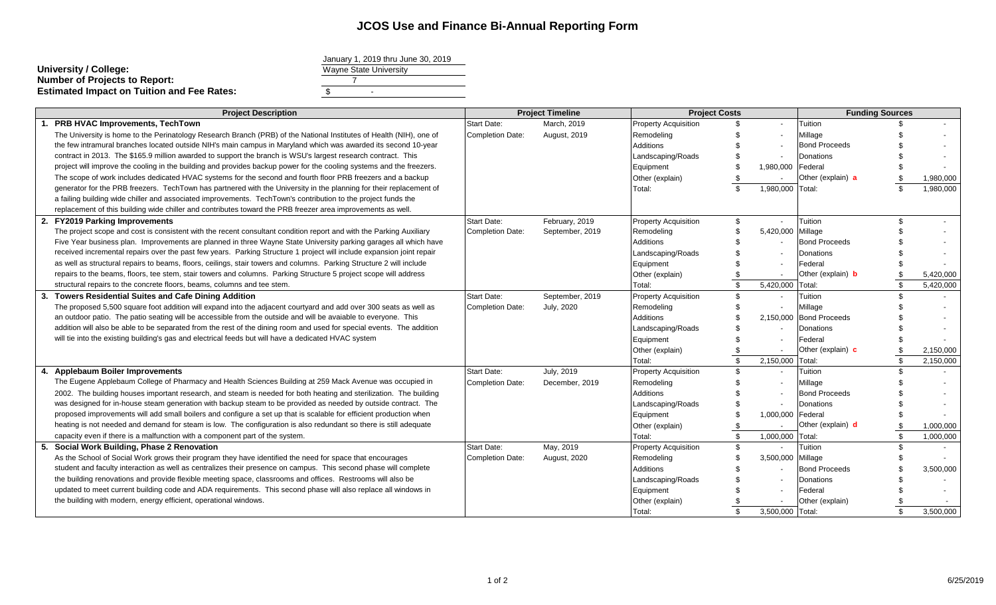## **JCOS Use and Finance Bi-Annual Reporting Form**

|                                                   | January 1, 2019 unu Ju |  |
|---------------------------------------------------|------------------------|--|
| University / College:                             | Wayne State University |  |
| <b>Number of Projects to Report:</b>              |                        |  |
| <b>Estimated Impact on Tuition and Fee Rates:</b> | -                      |  |
|                                                   |                        |  |

| January 1, 2019 thru June 30, 2019 |  |
|------------------------------------|--|
| <b>Wayne State University</b>      |  |
|                                    |  |
|                                    |  |

|    | <b>Project Description</b>                                                                                            | <b>Project Timeline</b> |                     | <b>Project Costs</b>        |                | <b>Funding Sources</b>   |                          |    |           |
|----|-----------------------------------------------------------------------------------------------------------------------|-------------------------|---------------------|-----------------------------|----------------|--------------------------|--------------------------|----|-----------|
|    | <b>PRB HVAC Improvements, TechTown</b>                                                                                | <b>Start Date:</b>      | March, 2019         | <b>Property Acquisition</b> |                | $\overline{a}$           | Tuition                  |    |           |
|    | The University is home to the Perinatology Research Branch (PRB) of the National Institutes of Health (NIH), one of   | Completion Date:        | <b>August, 2019</b> | Remodeling                  |                |                          | Millage                  |    |           |
|    | the few intramural branches located outside NIH's main campus in Maryland which was awarded its second 10-year        |                         |                     | <b>Additions</b>            |                |                          | <b>Bond Proceeds</b>     |    |           |
|    | contract in 2013. The \$165.9 million awarded to support the branch is WSU's largest research contract. This          |                         |                     | Landscaping/Roads           |                |                          | Donations                |    |           |
|    | project will improve the cooling in the building and provides backup power for the cooling systems and the freezers.  |                         |                     | Equipment                   |                | 1,980,000                | Federal                  |    |           |
|    | The scope of work includes dedicated HVAC systems for the second and fourth floor PRB freezers and a backup           |                         |                     | Other (explain)             |                |                          | Other (explain) a        |    | 1,980,000 |
|    | generator for the PRB freezers. TechTown has partnered with the University in the planning for their replacement of   |                         |                     | Total:                      | $\mathfrak{L}$ | 1,980,000                | Total:                   |    | 1,980,000 |
|    | a failing building wide chiller and associated improvements. TechTown's contribution to the project funds the         |                         |                     |                             |                |                          |                          |    |           |
|    | replacement of this building wide chiller and contributes toward the PRB freezer area improvements as well.           |                         |                     |                             |                |                          |                          |    |           |
|    | 2. FY2019 Parking Improvements                                                                                        | <b>Start Date:</b>      | February, 2019      | <b>Property Acquisition</b> |                |                          | Tuition                  |    |           |
|    | The project scope and cost is consistent with the recent consultant condition report and with the Parking Auxiliary   | <b>Completion Date:</b> | September, 2019     | Remodeling                  |                | 5,420,000                | Millage                  |    |           |
|    | Five Year business plan. Improvements are planned in three Wayne State University parking garages all which have      |                         |                     | Additions                   |                |                          | <b>Bond Proceeds</b>     |    |           |
|    | received incremental repairs over the past few years. Parking Structure 1 project will include expansion joint repair |                         |                     | Landscaping/Roads           |                |                          | Donations                |    |           |
|    | as well as structural repairs to beams, floors, ceilings, stair towers and columns. Parking Structure 2 will include  |                         |                     | Equipment                   |                |                          | Federal                  |    |           |
|    | repairs to the beams, floors, tee stem, stair towers and columns. Parking Structure 5 project scope will address      |                         |                     | Other (explain)             |                |                          | Other (explain) <b>b</b> |    | 5,420,000 |
|    | structural repairs to the concrete floors, beams, columns and tee stem.                                               |                         |                     | Total:                      | $\mathfrak{L}$ | 5,420,000                | Total:                   |    | 5,420,000 |
| 3. | <b>Towers Residential Suites and Cafe Dining Addition</b>                                                             | <b>Start Date:</b>      | September, 2019     | <b>Property Acquisition</b> |                |                          | Tuition                  |    |           |
|    | The proposed 5,500 square foot addition will expand into the adjacent courtyard and add over 300 seats as well as     | <b>Completion Date:</b> | July, 2020          | Remodeling                  |                |                          | Millage                  |    |           |
|    | an outdoor patio. The patio seating will be accessible from the outside and will be avaiable to everyone. This        |                         |                     | Additions                   |                |                          | 2,150,000 Bond Proceeds  |    |           |
|    | addition will also be able to be separated from the rest of the dining room and used for special events. The addition |                         |                     | Landscaping/Roads           |                |                          | Donations                |    |           |
|    | will tie into the existing building's gas and electrical feeds but will have a dedicated HVAC system                  |                         |                     | Equipment                   |                |                          | Federal                  |    |           |
|    |                                                                                                                       |                         |                     | Other (explain)             |                |                          | Other (explain) c        |    | 2,150,000 |
|    |                                                                                                                       |                         |                     | Total:                      | $\mathfrak{L}$ | 2,150,000                | Total:                   | \$ | 2,150,000 |
|    | 4. Applebaum Boiler Improvements                                                                                      | <b>Start Date:</b>      | July, 2019          | <b>Property Acquisition</b> | \$             | $\overline{\phantom{a}}$ | Tuition                  | ፍ  |           |
|    | The Eugene Applebaum College of Pharmacy and Health Sciences Building at 259 Mack Avenue was occupied in              | <b>Completion Date:</b> | December, 2019      | Remodeling                  |                | $\overline{\phantom{a}}$ | Millage                  |    |           |
|    | 2002. The building houses important research, and steam is needed for both heating and sterilization. The building    |                         |                     | Additions                   |                |                          | <b>Bond Proceeds</b>     |    |           |
|    | was designed for in-house steam generation with backup steam to be provided as needed by outside contract. The        |                         |                     | Landscaping/Roads           |                |                          | <b>Donations</b>         |    |           |
|    | proposed improvements will add small boilers and configure a set up that is scalable for efficient production when    |                         |                     | Equipment                   |                | 1,000,000                | Federal                  |    |           |
|    | heating is not needed and demand for steam is low. The configuration is also redundant so there is still adequate     |                         |                     | Other (explain)             |                |                          | Other (explain) d        |    | 1,000,000 |
|    | capacity even if there is a malfunction with a component part of the system.                                          |                         |                     | Total:                      | $\mathbf{s}$   | 1,000,000                | Total:                   |    | 1,000,000 |
| 5. | Social Work Building, Phase 2 Renovation                                                                              | <b>Start Date:</b>      | May, 2019           | <b>Property Acquisition</b> | \$.            | $\overline{a}$           | Tuition                  |    |           |
|    | As the School of Social Work grows their program they have identified the need for space that encourages              | <b>Completion Date:</b> | August, 2020        | Remodeling                  |                | 3,500,000 Millage        |                          |    |           |
|    | student and faculty interaction as well as centralizes their presence on campus. This second phase will complete      |                         |                     | <b>Additions</b>            |                |                          | <b>Bond Proceeds</b>     |    | 3,500,000 |
|    | the building renovations and provide flexible meeting space, classrooms and offices. Restrooms will also be           |                         |                     | Landscaping/Roads           |                |                          | Donations                |    |           |
|    | updated to meet current building code and ADA requirements. This second phase will also replace all windows in        |                         |                     | Equipment                   |                |                          | Federal                  |    |           |
|    | the building with modern, energy efficient, operational windows.                                                      |                         |                     | Other (explain)             |                |                          | Other (explain)          |    |           |
|    |                                                                                                                       |                         |                     | Total:                      | \$.            | 3,500,000 Total:         |                          |    | 3,500,000 |